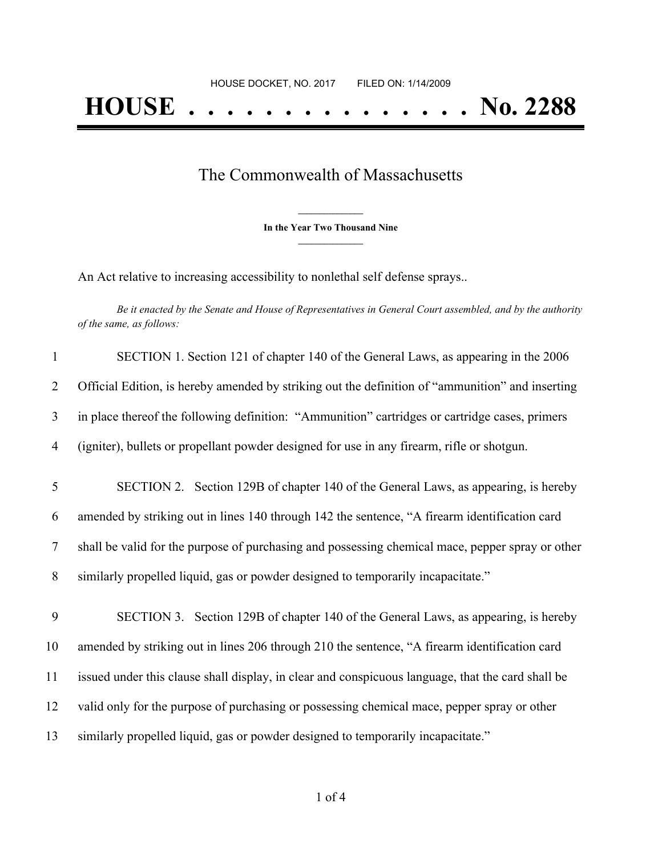## The Commonwealth of Massachusetts

**\_\_\_\_\_\_\_\_\_\_\_\_\_\_\_ In the Year Two Thousand Nine \_\_\_\_\_\_\_\_\_\_\_\_\_\_\_**

An Act relative to increasing accessibility to nonlethal self defense sprays..

Be it enacted by the Senate and House of Representatives in General Court assembled, and by the authority *of the same, as follows:*

| $\mathbf{1}$   | SECTION 1. Section 121 of chapter 140 of the General Laws, as appearing in the 2006               |
|----------------|---------------------------------------------------------------------------------------------------|
| 2              | Official Edition, is hereby amended by striking out the definition of "ammunition" and inserting  |
| 3              | in place thereof the following definition: "Ammunition" cartridges or cartridge cases, primers    |
| 4              | (igniter), bullets or propellant powder designed for use in any firearm, rifle or shotgun.        |
| 5              | SECTION 2. Section 129B of chapter 140 of the General Laws, as appearing, is hereby               |
| 6              | amended by striking out in lines 140 through 142 the sentence, "A firearm identification card     |
| $\overline{7}$ | shall be valid for the purpose of purchasing and possessing chemical mace, pepper spray or other  |
| 8              | similarly propelled liquid, gas or powder designed to temporarily incapacitate."                  |
| 9              | SECTION 3. Section 129B of chapter 140 of the General Laws, as appearing, is hereby               |
| 10             | amended by striking out in lines 206 through 210 the sentence, "A firearm identification card     |
| 11             | issued under this clause shall display, in clear and conspicuous language, that the card shall be |
| 12             | valid only for the purpose of purchasing or possessing chemical mace, pepper spray or other       |
| 13             | similarly propelled liquid, gas or powder designed to temporarily incapacitate."                  |

of 4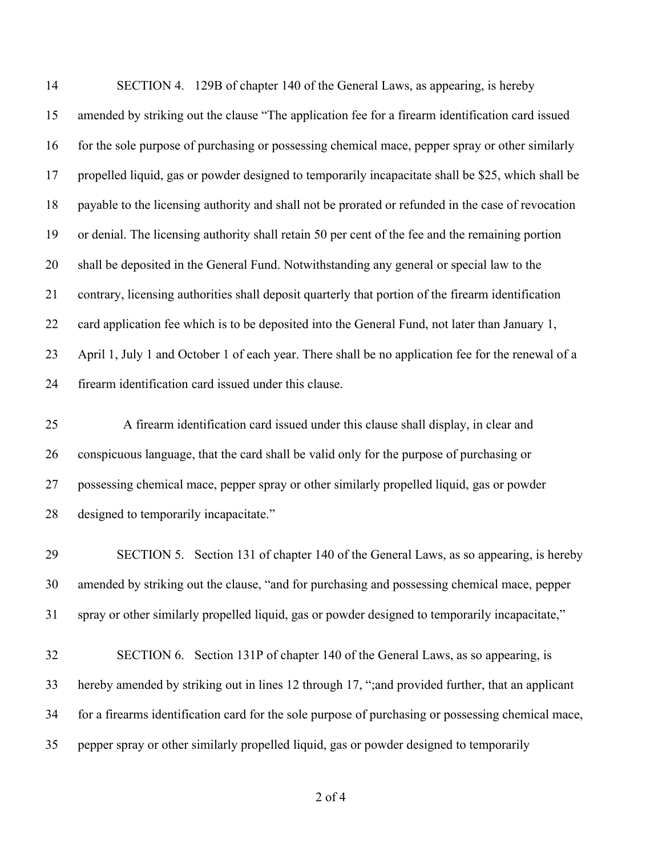| 14 | SECTION 4. 129B of chapter 140 of the General Laws, as appearing, is hereby                        |
|----|----------------------------------------------------------------------------------------------------|
| 15 | amended by striking out the clause "The application fee for a firearm identification card issued   |
| 16 | for the sole purpose of purchasing or possessing chemical mace, pepper spray or other similarly    |
| 17 | propelled liquid, gas or powder designed to temporarily incapacitate shall be \$25, which shall be |
| 18 | payable to the licensing authority and shall not be prorated or refunded in the case of revocation |
| 19 | or denial. The licensing authority shall retain 50 per cent of the fee and the remaining portion   |
| 20 | shall be deposited in the General Fund. Notwithstanding any general or special law to the          |
| 21 | contrary, licensing authorities shall deposit quarterly that portion of the firearm identification |
| 22 | card application fee which is to be deposited into the General Fund, not later than January 1,     |
| 23 | April 1, July 1 and October 1 of each year. There shall be no application fee for the renewal of a |
| 24 | firearm identification card issued under this clause.                                              |
| 25 | A firearm identification card issued under this clause shall display, in clear and                 |
| 26 | conspicuous language, that the card shall be valid only for the purpose of purchasing or           |
| 27 | possessing chemical mace, pepper spray or other similarly propelled liquid, gas or powder          |
| 28 | designed to temporarily incapacitate."                                                             |
| 29 | SECTION 5. Section 131 of chapter 140 of the General Laws, as so appearing, is hereby              |
| 30 | amended by striking out the clause, "and for purchasing and possessing chemical mace, pepper       |
| 31 | spray or other similarly propelled liquid, gas or powder designed to temporarily incapacitate,"    |
| 32 | SECTION 6. Section 131P of chapter 140 of the General Laws, as so appearing, is                    |
| 33 | hereby amended by striking out in lines 12 through 17, ";and provided further, that an applicant   |
| 34 | for a firearms identification card for the sole purpose of purchasing or possessing chemical mace, |
| 35 | pepper spray or other similarly propelled liquid, gas or powder designed to temporarily            |
|    |                                                                                                    |

of 4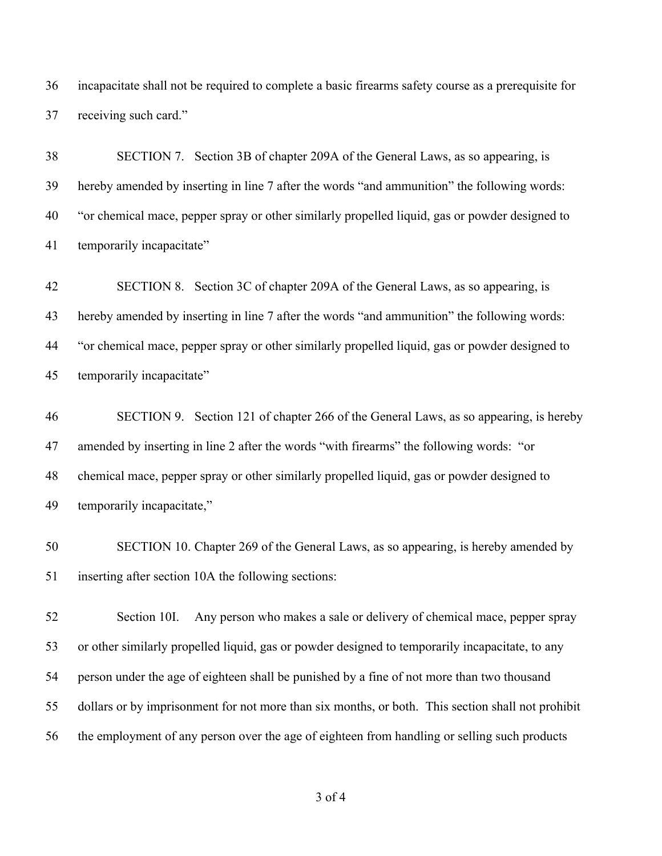incapacitate shall not be required to complete a basic firearms safety course as a prerequisite for receiving such card."

 SECTION 7. Section 3B of chapter 209A of the General Laws, as so appearing, is hereby amended by inserting in line 7 after the words "and ammunition" the following words: "or chemical mace, pepper spray or other similarly propelled liquid, gas or powder designed to temporarily incapacitate"

 SECTION 8. Section 3C of chapter 209A of the General Laws, as so appearing, is hereby amended by inserting in line 7 after the words "and ammunition" the following words: "or chemical mace, pepper spray or other similarly propelled liquid, gas or powder designed to temporarily incapacitate"

 SECTION 9. Section 121 of chapter 266 of the General Laws, as so appearing, is hereby amended by inserting in line 2 after the words "with firearms" the following words: "or chemical mace, pepper spray or other similarly propelled liquid, gas or powder designed to temporarily incapacitate,"

 SECTION 10. Chapter 269 of the General Laws, as so appearing, is hereby amended by inserting after section 10A the following sections:

 Section 10I. Any person who makes a sale or delivery of chemical mace, pepper spray or other similarly propelled liquid, gas or powder designed to temporarily incapacitate, to any person under the age of eighteen shall be punished by a fine of not more than two thousand dollars or by imprisonment for not more than six months, or both. This section shall not prohibit the employment of any person over the age of eighteen from handling or selling such products